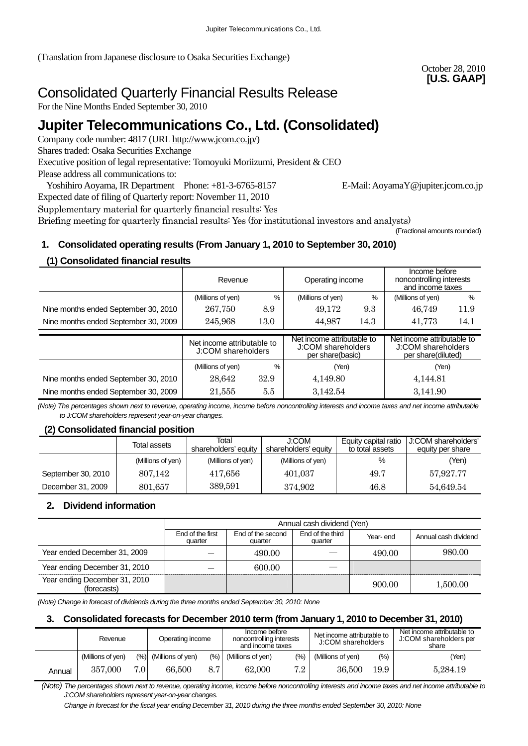(Translation from Japanese disclosure to Osaka Securities Exchange)

## October 28, 2010 **[U.S. GAAP]**

# Consolidated Quarterly Financial Results Release

For the Nine Months Ended September 30, 2010

# **Jupiter Telecommunications Co., Ltd. (Consolidated)**

Company code number: 4817 (URL [http://www.jcom.co.jp/](http://www.jcomxxxxxxxxx.co.jp/))

Shares traded: Osaka Securities Exchange

Executive position of legal representative: Tomoyuki Moriizumi, President & CEO

Please address all communications to:

Yoshihiro Aoyama, IR Department Phone: +81-3-6765-8157 E-Mail: AoyamaY@jupiter.jcom.co.jp Expected date of filing of Quarterly report: November 11, 2010

(Fractional amounts rounded)

Supplementary material for quarterly financial results: Yes

Briefing meeting for quarterly financial results: Yes (for institutional investors and analysts)

# **1. Consolidated operating results (From January 1, 2010 to September 30, 2010)**

## **(1) Consolidated financial results**

|                                      | Revenue                                          |      | Operating income                                                     |      | Income before<br>noncontrolling interests<br>and income taxes          |      |
|--------------------------------------|--------------------------------------------------|------|----------------------------------------------------------------------|------|------------------------------------------------------------------------|------|
|                                      | %<br>(Millions of yen)                           |      | (Millions of yen)                                                    | %    | (Millions of yen)                                                      | %    |
| Nine months ended September 30, 2010 | 267,750                                          | 8.9  | 49,172                                                               | 9.3  | 46,749                                                                 | 11.9 |
| Nine months ended September 30, 2009 | 13.0<br>245,968                                  |      | 44,987                                                               | 14.3 | 41,773                                                                 | 14.1 |
|                                      | Net income attributable to<br>J:COM shareholders |      |                                                                      |      |                                                                        |      |
|                                      |                                                  |      | Net income attributable to<br>J:COM shareholders<br>per share(basic) |      | Net income attributable to<br>J:COM shareholders<br>per share(diluted) |      |
|                                      | (Millions of yen)                                | %    | (Yen)                                                                |      | (Yen)                                                                  |      |
| Nine months ended September 30, 2010 | 28.642                                           | 32.9 | 4,149.80                                                             |      | 4,144.81                                                               |      |

*(Note) The percentages shown next to revenue, operating income, income before noncontrolling interests and income taxes and net income attributable to J:COM shareholders represent year-on-year changes.* 

## **(2) Consolidated financial position**

|                    | Total<br>Total assets<br>shareholders' equity |                   | J:COM<br>shareholders' equity | Equity capital ratio<br>to total assets | J:COM shareholders'<br>equity per share |  |
|--------------------|-----------------------------------------------|-------------------|-------------------------------|-----------------------------------------|-----------------------------------------|--|
|                    | (Millions of yen)                             | (Millions of yen) | (Millions of yen)             | %                                       | (Yen)                                   |  |
| September 30, 2010 | 807.142                                       | 417,656           | 401.037                       | 49.7                                    | 57.927.77                               |  |
| December 31, 2009  | 801,657                                       | 389,591           | 374,902                       | 46.8                                    | 54,649.54                               |  |

## **2. Dividend information**

|                                              |                             | Annual cash dividend (Yen) |                      |        |          |  |  |
|----------------------------------------------|-----------------------------|----------------------------|----------------------|--------|----------|--|--|
|                                              | End of the first<br>quarter | Year-end                   | Annual cash dividend |        |          |  |  |
| Year ended December 31, 2009                 |                             | 490.00                     |                      | 490.00 | 980.00   |  |  |
| Year ending December 31, 2010                |                             | 600.00                     |                      |        |          |  |  |
| Year ending December 31, 2010<br>(forecasts) |                             |                            |                      | 900.00 | 1,500.00 |  |  |

*(Note) Change in forecast of dividends during the three months ended September 30, 2010: None*

## **3. Consolidated forecasts for December 2010 term (from January 1, 2010 to December 31, 2010)**

|        | Revenue           |      | Operating income      |        | Income before<br>noncontrolling interests<br>and income taxes |       | Net income attributable to<br>J:COM shareholders |        | Net income attributable to<br>J:COM shareholders per<br>share |  |
|--------|-------------------|------|-----------------------|--------|---------------------------------------------------------------|-------|--------------------------------------------------|--------|---------------------------------------------------------------|--|
|        | (Millions of yen) |      | (%) (Millions of yen) | $(\%)$ | (Millions of yen)                                             | (0/0) | (Millions of yen)                                | $(\%)$ | (Yen)                                                         |  |
| Annual | 357,000           | 7.01 | 66,500                | 8.7    | 62,000                                                        | 7.2   | 36,500                                           | 19.9   | 5,284.19                                                      |  |

 *(Note) The percentages shown next to revenue, operating income, income before noncontrolling interests and income taxes and net income attributable to J:COM shareholders represent year-on-year changes.* 

*Change in forecast for the fiscal year ending December 31, 2010 during the three months ended September 30, 2010: None*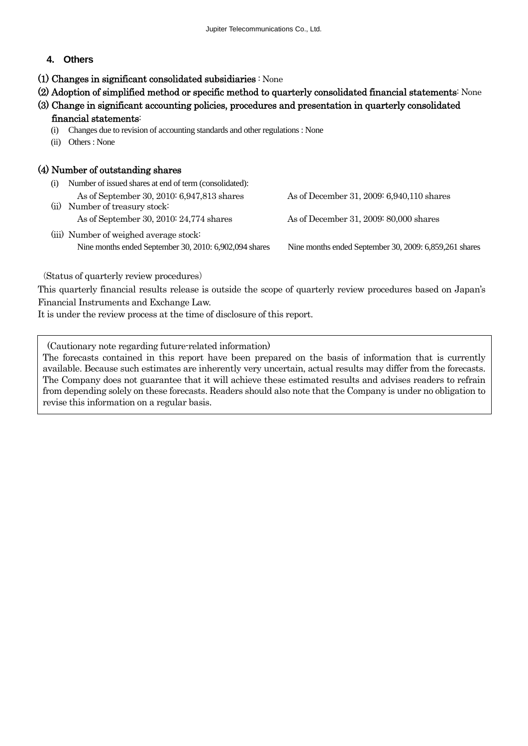## **4. Others**

- (1) Changes in significant consolidated subsidiaries : None
- (2) Adoption of simplified method or specific method to quarterly consolidated financial statements: None
- (3) Change in significant accounting policies, procedures and presentation in quarterly consolidated

#### financial statements:

- (i) Changes due to revision of accounting standards and other regulations : None
- (ii) Others : None

## (4) Number of outstanding shares

- (i) Number of issued shares at end of term (consolidated): As of September 30, 2010: 6,947,813 shares As of December 31, 2009: 6,940,110 shares (ii) Number of treasury stock: As of September 30, 2010: 24,774 shares As of December 31, 2009: 80,000 shares (iii) Number of weighed average stock:
	- Nine months ended September 30, 2010: 6,902,094 shares Nine months ended September 30, 2009: 6,859,261 shares

(Status of quarterly review procedures)

This quarterly financial results release is outside the scope of quarterly review procedures based on Japan's Financial Instruments and Exchange Law.

It is under the review process at the time of disclosure of this report.

(Cautionary note regarding future-related information)

The forecasts contained in this report have been prepared on the basis of information that is currently available. Because such estimates are inherently very uncertain, actual results may differ from the forecasts. The Company does not guarantee that it will achieve these estimated results and advises readers to refrain from depending solely on these forecasts. Readers should also note that the Company is under no obligation to revise this information on a regular basis.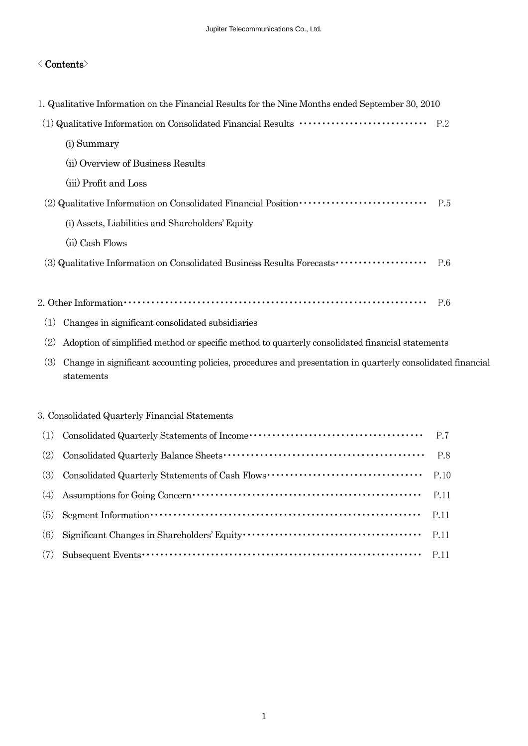## $\langle$  Contents $\rangle$

|     | 1. Qualitative Information on the Financial Results for the Nine Months ended September 30, 2010                         |     |
|-----|--------------------------------------------------------------------------------------------------------------------------|-----|
|     |                                                                                                                          |     |
|     | (i) Summary                                                                                                              |     |
|     | (ii) Overview of Business Results                                                                                        |     |
|     | (iii) Profit and Loss                                                                                                    |     |
|     | (2) Qualitative Information on Consolidated Financial Position ·····························                             | P.5 |
|     | (i) Assets, Liabilities and Shareholders' Equity                                                                         |     |
|     | (ii) Cash Flows                                                                                                          |     |
|     | (3) Qualitative Information on Consolidated Business Results Forecasts •••••••••••••••••••••••••••••                     | P.6 |
|     |                                                                                                                          |     |
|     |                                                                                                                          | P.6 |
| (1) | Changes in significant consolidated subsidiaries                                                                         |     |
| (2) | Adoption of simplified method or specific method to quarterly consolidated financial statements                          |     |
| (3) | Change in significant accounting policies, procedures and presentation in quarterly consolidated financial<br>statements |     |
|     |                                                                                                                          |     |
|     | 3. Consolidated Quarterly Financial Statements                                                                           |     |
| (1) |                                                                                                                          | P.7 |

| $\mathcal{L}$ consolidated graditerry Diatentents of Higging                                                                                                                                                                                                                                                                     |  |
|----------------------------------------------------------------------------------------------------------------------------------------------------------------------------------------------------------------------------------------------------------------------------------------------------------------------------------|--|
|                                                                                                                                                                                                                                                                                                                                  |  |
|                                                                                                                                                                                                                                                                                                                                  |  |
| (4) Assumptions for Going Concern $\cdots$ $\cdots$ $\cdots$ $\cdots$ $\cdots$ $\cdots$ $\cdots$ $\cdots$ $\cdots$ $\cdots$ $\cdots$ $\cdots$ $\cdots$ $\cdots$ $\cdots$ $\cdots$ $\cdots$                                                                                                                                       |  |
| $(5)$ Segment Information $\cdots \cdots \cdots \cdots \cdots \cdots \cdots \cdots \cdots \cdots \cdots \cdots \cdots$ P.11                                                                                                                                                                                                      |  |
| (6) Significant Changes in Shareholders' Equity $\cdots$ $\cdots$ $\cdots$ $\cdots$ $\cdots$ $\cdots$ $\cdots$ $\cdots$ $\cdots$ $\cdots$ $\cdots$ $\cdots$ $\cdots$ $\cdots$ $\cdots$ $\cdots$ $\cdots$ $\cdots$ $\cdots$ $\cdots$ $\cdots$ $\cdots$ $\cdots$ $\cdots$ $\cdots$ $\cdots$ $\cdots$ $\cdots$ $\cdots$             |  |
| $(7)$ Subsequent Events $\cdots$ $\cdots$ $\cdots$ $\cdots$ $\cdots$ $\cdots$ $\cdots$ $\cdots$ $\cdots$ $\cdots$ $\cdots$ $\cdots$ $\cdots$ $\cdots$ $\cdots$ $\cdots$ $\cdots$ $\cdots$ $\cdots$ $\cdots$ $\cdots$ $\cdots$ $\cdots$ $\cdots$ $\cdots$ $\cdots$ $\cdots$ $\cdots$ $\cdots$ $\cdots$ $\cdots$ $\cdots$ $\cdots$ |  |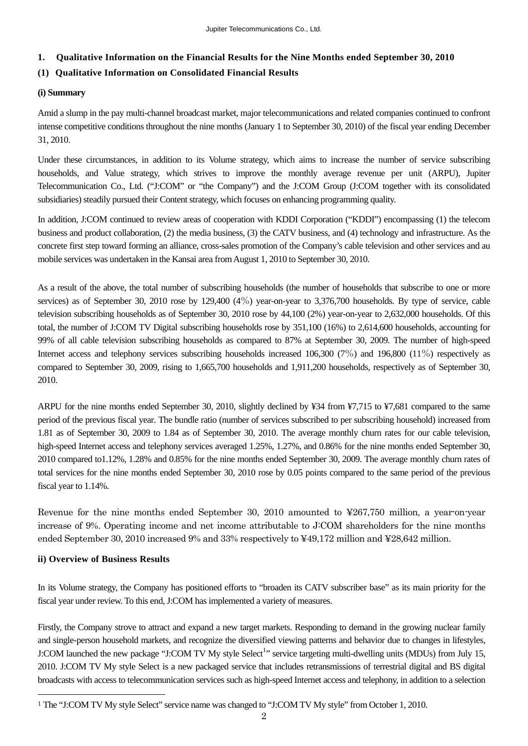## **1. Qualitative Information on the Financial Results for the Nine Months ended September 30, 2010**

## **(1) Qualitative Information on Consolidated Financial Results**

#### **(i) Summary**

Amid a slump in the pay multi-channel broadcast market, major telecommunications and related companies continued to confront intense competitive conditions throughout the nine months (January 1 to September 30, 2010) of the fiscal year ending December 31, 2010.

Under these circumstances, in addition to its Volume strategy, which aims to increase the number of service subscribing households, and Value strategy, which strives to improve the monthly average revenue per unit (ARPU), Jupiter Telecommunication Co., Ltd. ("J:COM" or "the Company") and the J:COM Group (J:COM together with its consolidated subsidiaries) steadily pursued their Content strategy, which focuses on enhancing programming quality.

In addition, J:COM continued to review areas of cooperation with KDDI Corporation ("KDDI") encompassing (1) the telecom business and product collaboration, (2) the media business, (3) the CATV business, and (4) technology and infrastructure. As the concrete first step toward forming an alliance, cross-sales promotion of the Company's cable television and other services and au mobile services was undertaken in the Kansai area from August 1, 2010 to September 30, 2010.

As a result of the above, the total number of subscribing households (the number of households that subscribe to one or more services) as of September 30, 2010 rose by 129,400 (4%) year-on-year to 3,376,700 households. By type of service, cable television subscribing households as of September 30, 2010 rose by 44,100 (2%) year-on-year to 2,632,000 households. Of this total, the number of J:COM TV Digital subscribing households rose by 351,100 (16%) to 2,614,600 households, accounting for 99% of all cable television subscribing households as compared to 87% at September 30, 2009. The number of high-speed Internet access and telephony services subscribing households increased 106,300 (7%) and 196,800 (11%) respectively as compared to September 30, 2009, rising to 1,665,700 households and 1,911,200 households, respectively as of September 30, 2010.

ARPU for the nine months ended September 30, 2010, slightly declined by ¥34 from ¥7,715 to ¥7,681 compared to the same period of the previous fiscal year. The bundle ratio (number of services subscribed to per subscribing household) increased from 1.81 as of September 30, 2009 to 1.84 as of September 30, 2010. The average monthly churn rates for our cable television, high-speed Internet access and telephony services averaged 1.25%, 1.27%, and 0.86% for the nine months ended September 30, 2010 compared to1.12%, 1.28% and 0.85% for the nine months ended September 30, 2009. The average monthly churn rates of total services for the nine months ended September 30, 2010 rose by 0.05 points compared to the same period of the previous fiscal year to 1.14%.

Revenue for the nine months ended September 30, 2010 amounted to ¥267,750 million, a year-on-year increase of 9%. Operating income and net income attributable to J:COM shareholders for the nine months ended September 30, 2010 increased 9% and 33% respectively to ¥49,172 million and ¥28,642 million.

## **ii) Overview of Business Results**

 $\overline{a}$ 

In its Volume strategy, the Company has positioned efforts to "broaden its CATV subscriber base" as its main priority for the fiscal year under review. To this end, J:COM has implemented a variety of measures.

Firstly, the Company strove to attract and expand a new target markets. Responding to demand in the growing nuclear family and single-person household markets, and recognize the diversified viewing patterns and behavior due to changes in lifestyles, J:COM launched the new package "J:COM TV My style Select<sup>[1](#page-3-0)</sup>" service targeting multi-dwelling units (MDUs) from July 15, 2010. J:COM TV My style Select is a new packaged service that includes retransmissions of terrestrial digital and BS digital broadcasts with access to telecommunication services such as high-speed Internet access and telephony, in addition to a selection

<span id="page-3-0"></span><sup>1</sup> The "J:COM TV My style Select" service name was changed to "J:COM TV My style" from October 1, 2010.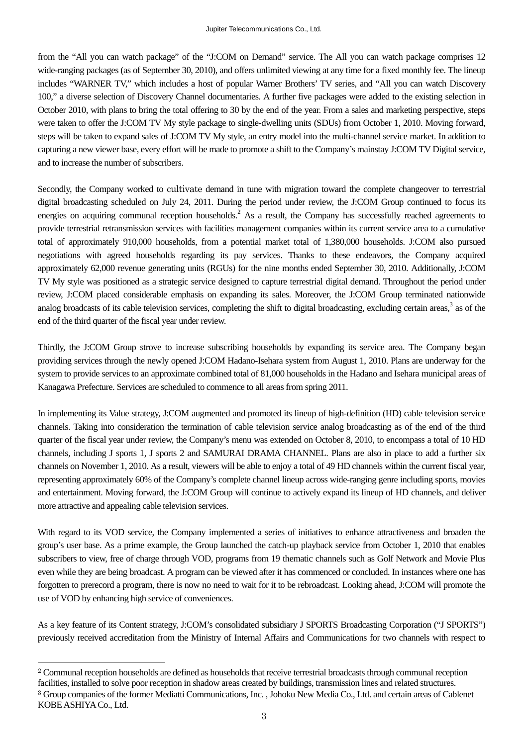from the "All you can watch package" of the "J:COM on Demand" service. The All you can watch package comprises 12 wide-ranging packages (as of September 30, 2010), and offers unlimited viewing at any time for a fixed monthly fee. The lineup includes "WARNER TV," which includes a host of popular Warner Brothers' TV series, and "All you can watch Discovery 100," a diverse selection of Discovery Channel documentaries. A further five packages were added to the existing selection in October 2010, with plans to bring the total offering to 30 by the end of the year. From a sales and marketing perspective, steps were taken to offer the J:COM TV My style package to single-dwelling units (SDUs) from October 1, 2010. Moving forward, steps will be taken to expand sales of J:COM TV My style, an entry model into the multi-channel service market. In addition to capturing a new viewer base, every effort will be made to promote a shift to the Company's mainstay J:COM TV Digital service, and to increase the number of subscribers.

Secondly, the Company worked to cultivate demand in tune with migration toward the complete changeover to terrestrial digital broadcasting scheduled on July 24, 2011. During the period under review, the J:COM Group continued to focus its energies on acquiring communal reception households.<sup>2</sup> As a result, the Company has successfully reached agreements to provide terrestrial retransmission services with facilities management companies within its current service area to a cumulative total of approximately 910,000 households, from a potential market total of 1,380,000 households. J:COM also pursued negotiations with agreed households regarding its pay services. Thanks to these endeavors, the Company acquired approximately 62,000 revenue generating units (RGUs) for the nine months ended September 30, 2010. Additionally, J:COM TV My style was positioned as a strategic service designed to capture terrestrial digital demand. Throughout the period under review, J:COM placed considerable emphasis on expanding its sales. Moreover, the J:COM Group terminated nationwide analog broadcasts of its cable television services, completing the shift to digital broadcasting, excluding certain areas,<sup>3</sup> as of the end of the third quarter of the fiscal year under review.

Thirdly, the J:COM Group strove to increase subscribing households by expanding its service area. The Company began providing services through the newly opened J:COM Hadano-Isehara system from August 1, 2010. Plans are underway for the system to provide services to an approximate combined total of 81,000 households in the Hadano and Isehara municipal areas of Kanagawa Prefecture. Services are scheduled to commence to all areas from spring 2011.

In implementing its Value strategy, J:COM augmented and promoted its lineup of high-definition (HD) cable television service channels. Taking into consideration the termination of cable television service analog broadcasting as of the end of the third quarter of the fiscal year under review, the Company's menu was extended on October 8, 2010, to encompass a total of 10 HD channels, including J sports 1, J sports 2 and SAMURAI DRAMA CHANNEL. Plans are also in place to add a further six channels on November 1, 2010. As a result, viewers will be able to enjoy a total of 49 HD channels within the current fiscal year, representing approximately 60% of the Company's complete channel lineup across wide-ranging genre including sports, movies and entertainment. Moving forward, the J:COM Group will continue to actively expand its lineup of HD channels, and deliver more attractive and appealing cable television services.

With regard to its VOD service, the Company implemented a series of initiatives to enhance attractiveness and broaden the group's user base. As a prime example, the Group launched the catch-up playback service from October 1, 2010 that enables subscribers to view, free of charge through VOD, programs from 19 thematic channels such as Golf Network and Movie Plus even while they are being broadcast. A program can be viewed after it has commenced or concluded. In instances where one has forgotten to prerecord a program, there is now no need to wait for it to be rebroadcast. Looking ahead, J:COM will promote the use of VOD by enhancing high service of conveniences.

As a key feature of its Content strategy, J:COM's consolidated subsidiary J SPORTS Broadcasting Corporation ("J SPORTS") previously received accreditation from the Ministry of Internal Affairs and Communications for two channels with respect to

 $\overline{a}$ 

<span id="page-4-1"></span><span id="page-4-0"></span><sup>2</sup> Communal reception households are defined as households that receive terrestrial broadcasts through communal reception facilities, installed to solve poor reception in shadow areas created by buildings, transmission lines and related structures. <sup>3</sup> Group companies of the former Mediatti Communications, Inc. , Johoku New Media Co., Ltd. and certain areas of Cablenet KOBE ASHIYA Co., Ltd.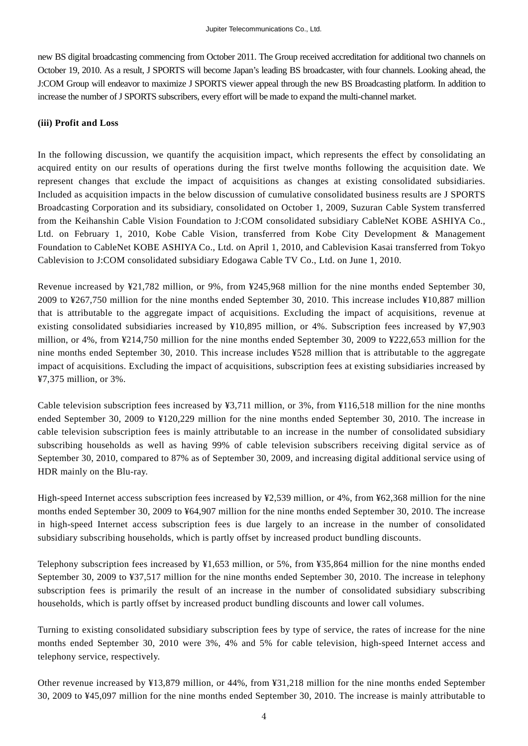new BS digital broadcasting commencing from October 2011. The Group received accreditation for additional two channels on October 19, 2010. As a result, J SPORTS will become Japan's leading BS broadcaster, with four channels. Looking ahead, the J:COM Group will endeavor to maximize J SPORTS viewer appeal through the new BS Broadcasting platform. In addition to increase the number of J SPORTS subscribers, every effort will be made to expand the multi-channel market.

#### **(iii) Profit and Loss**

In the following discussion, we quantify the acquisition impact, which represents the effect by consolidating an acquired entity on our results of operations during the first twelve months following the acquisition date. We represent changes that exclude the impact of acquisitions as changes at existing consolidated subsidiaries. Included as acquisition impacts in the below discussion of cumulative consolidated business results are J SPORTS Broadcasting Corporation and its subsidiary, consolidated on October 1, 2009, Suzuran Cable System transferred from the Keihanshin Cable Vision Foundation to J:COM consolidated subsidiary CableNet KOBE ASHIYA Co., Ltd. on February 1, 2010, Kobe Cable Vision, transferred from Kobe City Development & Management Foundation to CableNet KOBE ASHIYA Co., Ltd. on April 1, 2010, and Cablevision Kasai transferred from Tokyo Cablevision to J:COM consolidated subsidiary Edogawa Cable TV Co., Ltd. on June 1, 2010.

Revenue increased by ¥21,782 million, or 9%, from ¥245,968 million for the nine months ended September 30, 2009 to ¥267,750 million for the nine months ended September 30, 2010. This increase includes ¥10,887 million that is attributable to the aggregate impact of acquisitions. Excluding the impact of acquisitions, revenue at existing consolidated subsidiaries increased by ¥10,895 million, or 4%. Subscription fees increased by ¥7,903 million, or 4%, from ¥214,750 million for the nine months ended September 30, 2009 to ¥222,653 million for the nine months ended September 30, 2010. This increase includes ¥528 million that is attributable to the aggregate impact of acquisitions. Excluding the impact of acquisitions, subscription fees at existing subsidiaries increased by ¥7,375 million, or 3%.

Cable television subscription fees increased by  $\frac{43,711}{2}$  million, or 3%, from  $\frac{116,518}{2}$  million for the nine months ended September 30, 2009 to ¥120,229 million for the nine months ended September 30, 2010. The increase in cable television subscription fees is mainly attributable to an increase in the number of consolidated subsidiary subscribing households as well as having 99% of cable television subscribers receiving digital service as of September 30, 2010, compared to 87% as of September 30, 2009, and increasing digital additional service using of HDR mainly on the Blu-ray.

High-speed Internet access subscription fees increased by ¥2,539 million, or 4%, from ¥62,368 million for the nine months ended September 30, 2009 to ¥64,907 million for the nine months ended September 30, 2010. The increase in high-speed Internet access subscription fees is due largely to an increase in the number of consolidated subsidiary subscribing households, which is partly offset by increased product bundling discounts.

Telephony subscription fees increased by ¥1,653 million, or 5%, from ¥35,864 million for the nine months ended September 30, 2009 to ¥37,517 million for the nine months ended September 30, 2010. The increase in telephony subscription fees is primarily the result of an increase in the number of consolidated subsidiary subscribing households, which is partly offset by increased product bundling discounts and lower call volumes.

Turning to existing consolidated subsidiary subscription fees by type of service, the rates of increase for the nine months ended September 30, 2010 were 3%, 4% and 5% for cable television, high-speed Internet access and telephony service, respectively.

Other revenue increased by ¥13,879 million, or 44%, from ¥31,218 million for the nine months ended September 30, 2009 to ¥45,097 million for the nine months ended September 30, 2010. The increase is mainly attributable to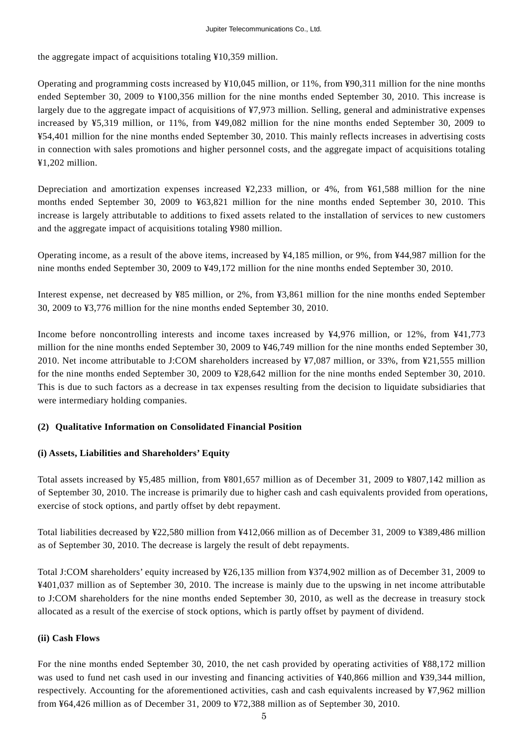the aggregate impact of acquisitions totaling ¥10,359 million.

Operating and programming costs increased by ¥10,045 million, or 11%, from ¥90,311 million for the nine months ended September 30, 2009 to ¥100,356 million for the nine months ended September 30, 2010. This increase is largely due to the aggregate impact of acquisitions of ¥7,973 million. Selling, general and administrative expenses increased by ¥5,319 million, or 11%, from ¥49,082 million for the nine months ended September 30, 2009 to ¥54,401 million for the nine months ended September 30, 2010. This mainly reflects increases in advertising costs in connection with sales promotions and higher personnel costs, and the aggregate impact of acquisitions totaling ¥1,202 million.

Depreciation and amortization expenses increased ¥2,233 million, or 4%, from ¥61,588 million for the nine months ended September 30, 2009 to ¥63,821 million for the nine months ended September 30, 2010. This increase is largely attributable to additions to fixed assets related to the installation of services to new customers and the aggregate impact of acquisitions totaling ¥980 million.

Operating income, as a result of the above items, increased by ¥4,185 million, or 9%, from ¥44,987 million for the nine months ended September 30, 2009 to ¥49,172 million for the nine months ended September 30, 2010.

Interest expense, net decreased by ¥85 million, or 2%, from ¥3,861 million for the nine months ended September 30, 2009 to ¥3,776 million for the nine months ended September 30, 2010.

Income before noncontrolling interests and income taxes increased by ¥4,976 million, or 12%, from ¥41,773 million for the nine months ended September 30, 2009 to ¥46,749 million for the nine months ended September 30, 2010. Net income attributable to J:COM shareholders increased by ¥7,087 million, or 33%, from ¥21,555 million for the nine months ended September 30, 2009 to ¥28,642 million for the nine months ended September 30, 2010. This is due to such factors as a decrease in tax expenses resulting from the decision to liquidate subsidiaries that were intermediary holding companies.

## **(2) Qualitative Information on Consolidated Financial Position**

## **(i) Assets, Liabilities and Shareholders' Equity**

Total assets increased by ¥5,485 million, from ¥801,657 million as of December 31, 2009 to ¥807,142 million as of September 30, 2010. The increase is primarily due to higher cash and cash equivalents provided from operations, exercise of stock options, and partly offset by debt repayment.

Total liabilities decreased by ¥22,580 million from ¥412,066 million as of December 31, 2009 to ¥389,486 million as of September 30, 2010. The decrease is largely the result of debt repayments.

Total J:COM shareholders' equity increased by ¥26,135 million from ¥374,902 million as of December 31, 2009 to ¥401,037 million as of September 30, 2010. The increase is mainly due to the upswing in net income attributable to J:COM shareholders for the nine months ended September 30, 2010, as well as the decrease in treasury stock allocated as a result of the exercise of stock options, which is partly offset by payment of dividend.

#### **(ii) Cash Flows**

For the nine months ended September 30, 2010, the net cash provided by operating activities of ¥88,172 million was used to fund net cash used in our investing and financing activities of ¥40,866 million and ¥39,344 million, respectively. Accounting for the aforementioned activities, cash and cash equivalents increased by ¥7,962 million from ¥64,426 million as of December 31, 2009 to ¥72,388 million as of September 30, 2010.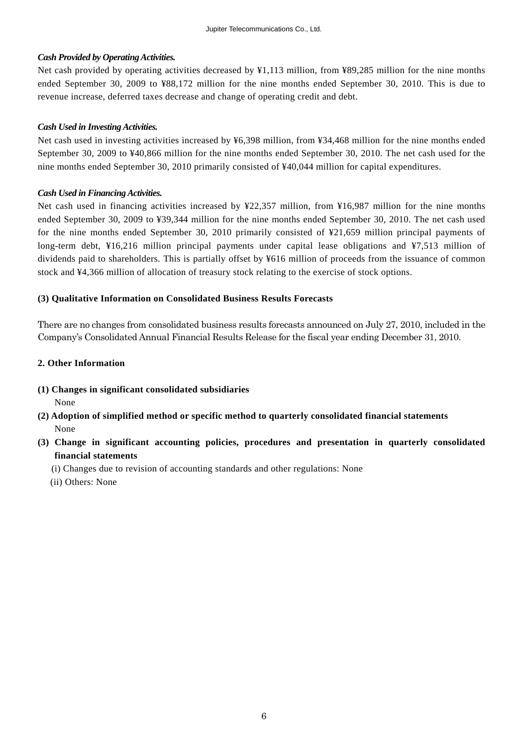### *Cash Provided by Operating Activities.*

Net cash provided by operating activities decreased by ¥1,113 million, from ¥89,285 million for the nine months ended September 30, 2009 to ¥88,172 million for the nine months ended September 30, 2010. This is due to revenue increase, deferred taxes decrease and change of operating credit and debt.

#### *Cash Used in Investing Activities.*

Net cash used in investing activities increased by ¥6,398 million, from ¥34,468 million for the nine months ended September 30, 2009 to ¥40,866 million for the nine months ended September 30, 2010. The net cash used for the nine months ended September 30, 2010 primarily consisted of ¥40,044 million for capital expenditures.

#### *Cash Used in Financing Activities.*

Net cash used in financing activities increased by ¥22,357 million, from ¥16,987 million for the nine months ended September 30, 2009 to ¥39,344 million for the nine months ended September 30, 2010. The net cash used for the nine months ended September 30, 2010 primarily consisted of ¥21,659 million principal payments of long-term debt, ¥16,216 million principal payments under capital lease obligations and ¥7,513 million of dividends paid to shareholders. This is partially offset by ¥616 million of proceeds from the issuance of common stock and ¥4,366 million of allocation of treasury stock relating to the exercise of stock options.

## **(3) Qualitative Information on Consolidated Business Results Forecasts**

There are no changes from consolidated business results forecasts announced on July 27, 2010, included in the Company's Consolidated Annual Financial Results Release for the fiscal year ending December 31, 2010.

## **2. Other Information**

- **(1) Changes in significant consolidated subsidiaries**  None
- **(2) Adoption of simplified method or specific method to quarterly consolidated financial statements**  None
- **(3) Change in significant accounting policies, procedures and presentation in quarterly consolidated financial statements** 
	- (i) Changes due to revision of accounting standards and other regulations: None
	- (ii) Others: None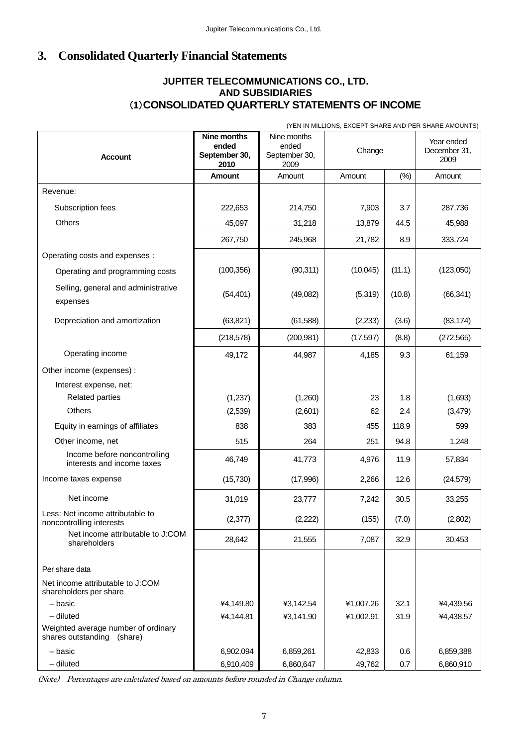# **3. Consolidated Quarterly Financial Statements**

## (**1**)**CO NSOLIDATED QUARTERLY STATEMENTS OF INCOME JUPITER TELECOMMUNICATIONS CO., LTD. AND SUBSIDIARIES**

|                                                                   | (YEN IN MILLIONS, EXCEPT SHARE AND PER SHARE AMOUNTS) |                                               |           |        |                                    |  |
|-------------------------------------------------------------------|-------------------------------------------------------|-----------------------------------------------|-----------|--------|------------------------------------|--|
| <b>Account</b>                                                    | Nine months<br>ended<br>September 30,<br>2010         | Nine months<br>ended<br>September 30,<br>2009 | Change    |        | Year ended<br>December 31,<br>2009 |  |
|                                                                   | Amount                                                | Amount                                        | Amount    | $(\%)$ | Amount                             |  |
| Revenue:                                                          |                                                       |                                               |           |        |                                    |  |
| Subscription fees                                                 | 222,653                                               | 214,750                                       | 7,903     | 3.7    | 287,736                            |  |
| Others                                                            | 45,097                                                | 31,218                                        | 13,879    | 44.5   | 45,988                             |  |
|                                                                   | 267,750                                               | 245,968                                       | 21,782    | 8.9    | 333,724                            |  |
| Operating costs and expenses :                                    |                                                       |                                               |           |        |                                    |  |
| Operating and programming costs                                   | (100, 356)                                            | (90, 311)                                     | (10,045)  | (11.1) | (123,050)                          |  |
| Selling, general and administrative<br>expenses                   | (54, 401)                                             | (49,082)                                      | (5,319)   | (10.8) | (66, 341)                          |  |
| Depreciation and amortization                                     | (63, 821)                                             | (61, 588)                                     | (2, 233)  | (3.6)  | (83, 174)                          |  |
|                                                                   | (218, 578)                                            | (200, 981)                                    | (17, 597) | (8.8)  | (272, 565)                         |  |
| Operating income                                                  | 49,172                                                | 44,987                                        | 4,185     | 9.3    | 61,159                             |  |
| Other income (expenses) :                                         |                                                       |                                               |           |        |                                    |  |
| Interest expense, net:                                            |                                                       |                                               |           |        |                                    |  |
| <b>Related parties</b>                                            | (1,237)                                               | (1,260)                                       | 23        | 1.8    | (1,693)                            |  |
| <b>Others</b>                                                     | (2,539)                                               | (2,601)                                       | 62        | 2.4    | (3,479)                            |  |
| Equity in earnings of affiliates                                  | 838                                                   | 383                                           | 455       | 118.9  | 599                                |  |
| Other income, net                                                 | 515                                                   | 264                                           | 251       | 94.8   | 1,248                              |  |
| Income before noncontrolling<br>interests and income taxes        | 46,749                                                | 41,773                                        | 4,976     | 11.9   | 57,834                             |  |
| Income taxes expense                                              | (15, 730)                                             | (17,996)                                      | 2,266     | 12.6   | (24, 579)                          |  |
| Net income                                                        | 31,019                                                | 23,777                                        | 7,242     | 30.5   | 33,255                             |  |
| Less: Net income attributable to<br>noncontrolling interests      | (2, 377)                                              | (2,222)                                       | (155)     | (7.0)  | (2,802)                            |  |
| Net income attributable to J:COM<br>shareholders                  | 28,642                                                | 21,555                                        | 7,087     | 32.9   | 30,453                             |  |
| Per share data                                                    |                                                       |                                               |           |        |                                    |  |
| Net income attributable to J:COM<br>shareholders per share        |                                                       |                                               |           |        |                                    |  |
| - basic                                                           | ¥4,149.80                                             | ¥3,142.54                                     | ¥1,007.26 | 32.1   | ¥4,439.56                          |  |
| $-$ diluted                                                       | ¥4,144.81                                             | ¥3,141.90                                     | ¥1,002.91 | 31.9   | ¥4,438.57                          |  |
| Weighted average number of ordinary<br>shares outstanding (share) |                                                       |                                               |           |        |                                    |  |
| - basic                                                           | 6,902,094                                             | 6,859,261                                     | 42,833    | 0.6    | 6,859,388                          |  |
| - diluted                                                         | 6,910,409                                             | 6,860,647                                     | 49,762    | 0.7    | 6,860,910                          |  |

(Note) Percentages are calculated based on amounts before rounded in Change column.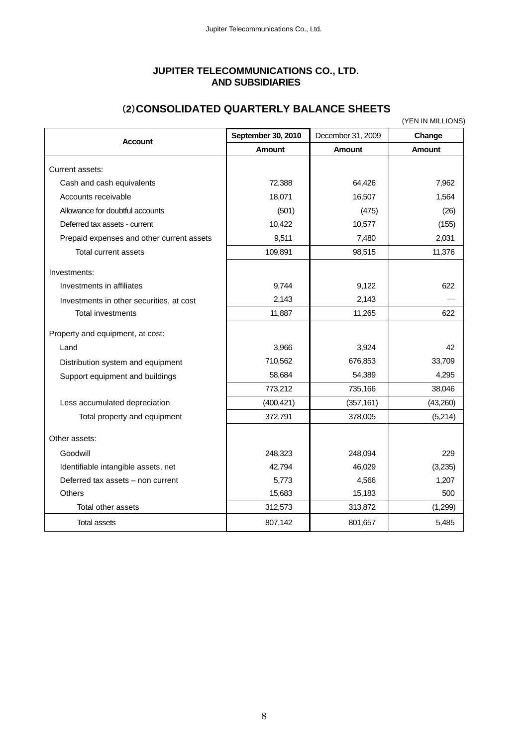## **JUPITER TELECOMMUNICATIONS CO., LTD. AND SUBSIDIARIES**

| (YEN IN MILLIONS)                         |                    |                   |               |  |  |  |
|-------------------------------------------|--------------------|-------------------|---------------|--|--|--|
| <b>Account</b>                            | September 30, 2010 | December 31, 2009 | Change        |  |  |  |
|                                           | <b>Amount</b>      | <b>Amount</b>     | <b>Amount</b> |  |  |  |
| Current assets:                           |                    |                   |               |  |  |  |
| Cash and cash equivalents                 | 72,388             | 64,426            | 7,962         |  |  |  |
| Accounts receivable                       | 18,071             | 16,507            | 1,564         |  |  |  |
| Allowance for doubtful accounts           | (501)              | (475)             | (26)          |  |  |  |
| Deferred tax assets - current             | 10,422             | 10,577            | (155)         |  |  |  |
| Prepaid expenses and other current assets | 9,511              | 7,480             | 2,031         |  |  |  |
| <b>Total current assets</b>               | 109,891            | 98,515            | 11,376        |  |  |  |
| Investments:                              |                    |                   |               |  |  |  |
| Investments in affiliates                 | 9,744              | 9,122             | 622           |  |  |  |
| Investments in other securities, at cost  | 2,143              | 2,143             |               |  |  |  |
| <b>Total investments</b>                  | 11,887             | 11,265            | 622           |  |  |  |
| Property and equipment, at cost:          |                    |                   |               |  |  |  |
| Land                                      | 3,966              | 3,924             | 42            |  |  |  |
| Distribution system and equipment         | 710,562            | 676,853           | 33,709        |  |  |  |
| Support equipment and buildings           | 58,684             | 54,389            | 4,295         |  |  |  |
|                                           | 773,212            | 735,166           | 38,046        |  |  |  |
| Less accumulated depreciation             | (400, 421)         | (357, 161)        | (43,260)      |  |  |  |
| Total property and equipment              | 372,791            | 378,005           | (5,214)       |  |  |  |
| Other assets:                             |                    |                   |               |  |  |  |
| Goodwill                                  | 248,323            | 248,094           | 229           |  |  |  |
| Identifiable intangible assets, net       | 42,794             | 46,029            | (3,235)       |  |  |  |
| Deferred tax assets - non current         | 5,773              | 4,566             | 1,207         |  |  |  |
| <b>Others</b>                             | 15,683             | 15,183            | 500           |  |  |  |
| Total other assets                        | 312,573            | 313,872           | (1,299)       |  |  |  |
| <b>Total assets</b>                       | 807,142            | 801,657           | 5,485         |  |  |  |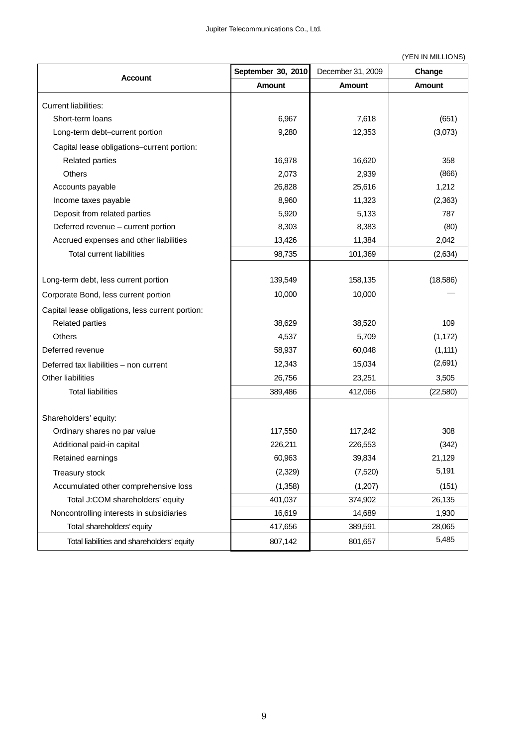(YEN IN MILLIONS)

|                                                  | September 30, 2010 | December 31, 2009 | Change        |
|--------------------------------------------------|--------------------|-------------------|---------------|
| Account                                          | <b>Amount</b>      | <b>Amount</b>     | <b>Amount</b> |
| <b>Current liabilities:</b>                      |                    |                   |               |
| Short-term loans                                 | 6,967              | 7,618             | (651)         |
| Long-term debt-current portion                   | 9,280              | 12,353            | (3,073)       |
| Capital lease obligations-current portion:       |                    |                   |               |
| <b>Related parties</b>                           | 16,978             | 16,620            | 358           |
| Others                                           | 2,073              | 2,939             | (866)         |
| Accounts payable                                 | 26,828             | 25,616            | 1,212         |
| Income taxes payable                             | 8,960              | 11,323            | (2,363)       |
| Deposit from related parties                     | 5,920              | 5,133             | 787           |
| Deferred revenue - current portion               | 8,303              | 8,383             | (80)          |
| Accrued expenses and other liabilities           | 13,426             | 11,384            | 2,042         |
| <b>Total current liabilities</b>                 | 98,735             | 101,369           | (2,634)       |
|                                                  |                    |                   |               |
| Long-term debt, less current portion             | 139,549            | 158,135           | (18, 586)     |
| Corporate Bond, less current portion             | 10,000             | 10,000            |               |
| Capital lease obligations, less current portion: |                    |                   |               |
| <b>Related parties</b>                           | 38,629             | 38,520            | 109           |
| Others                                           | 4,537              | 5,709             | (1, 172)      |
| Deferred revenue                                 | 58,937             | 60,048            | (1, 111)      |
| Deferred tax liabilities - non current           | 12,343             | 15,034            | (2,691)       |
| Other liabilities                                | 26,756             | 23,251            | 3,505         |
| <b>Total liabilities</b>                         | 389,486            | 412,066           | (22, 580)     |
|                                                  |                    |                   |               |
| Shareholders' equity:                            |                    |                   |               |
| Ordinary shares no par value                     | 117,550            | 117,242           | 308           |
| Additional paid-in capital                       | 226,211            | 226,553           | (342)         |
| Retained earnings                                | 60,963             | 39,834            | 21,129        |
| Treasury stock                                   | (2,329)            | (7,520)           | 5,191         |
| Accumulated other comprehensive loss             | (1, 358)           | (1,207)           | (151)         |
| Total J:COM shareholders' equity                 | 401,037            | 374,902           | 26,135        |
| Noncontrolling interests in subsidiaries         | 16,619             | 14,689            | 1,930         |
| Total shareholders' equity                       | 417,656            | 389,591           | 28,065        |
| Total liabilities and shareholders' equity       | 807,142            | 801,657           | 5,485         |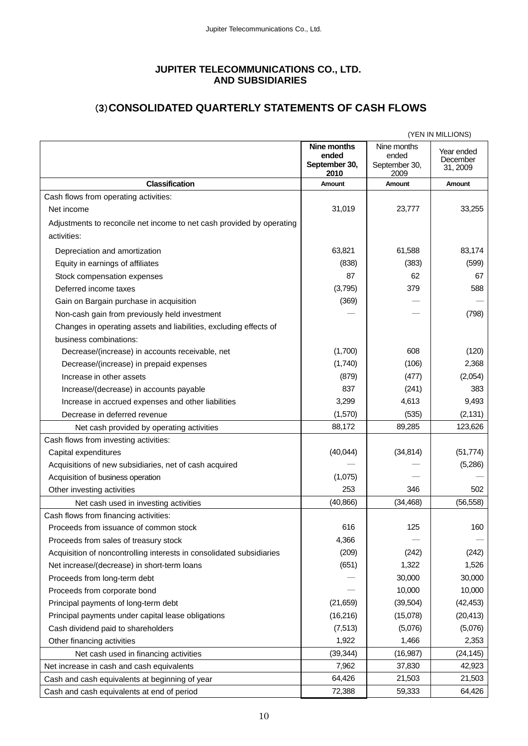## **JUPITER TELECOMMUNICATIONS CO., LTD. AND SUBSIDIARIES**

# (**3**)**CONSOLIDATED QUARTERLY STATEMENTS OF CASH FLOWS**

|                                                                       |                                                      |                                               | (YEN IN MILLIONS)                  |
|-----------------------------------------------------------------------|------------------------------------------------------|-----------------------------------------------|------------------------------------|
|                                                                       | <b>Nine months</b><br>ended<br>September 30,<br>2010 | Nine months<br>ended<br>September 30,<br>2009 | Year ended<br>December<br>31, 2009 |
| <b>Classification</b>                                                 | Amount                                               | Amount                                        | Amount                             |
| Cash flows from operating activities:                                 |                                                      |                                               |                                    |
| Net income                                                            | 31,019                                               | 23,777                                        | 33,255                             |
| Adjustments to reconcile net income to net cash provided by operating |                                                      |                                               |                                    |
| activities:                                                           |                                                      |                                               |                                    |
| Depreciation and amortization                                         | 63,821                                               | 61,588                                        | 83,174                             |
| Equity in earnings of affiliates                                      | (838)                                                | (383)                                         | (599)                              |
| Stock compensation expenses                                           | 87                                                   | 62                                            | 67                                 |
| Deferred income taxes                                                 | (3,795)                                              | 379                                           | 588                                |
| Gain on Bargain purchase in acquisition                               | (369)                                                |                                               |                                    |
| Non-cash gain from previously held investment                         |                                                      |                                               | (798)                              |
| Changes in operating assets and liabilities, excluding effects of     |                                                      |                                               |                                    |
| business combinations:                                                |                                                      |                                               |                                    |
| Decrease/(increase) in accounts receivable, net                       | (1,700)                                              | 608                                           | (120)                              |
| Decrease/(increase) in prepaid expenses                               | (1,740)                                              | (106)                                         | 2,368                              |
| Increase in other assets                                              | (879)                                                | (477)                                         | (2,054)                            |
| Increase/(decrease) in accounts payable                               | 837                                                  | (241)                                         | 383                                |
| Increase in accrued expenses and other liabilities                    | 3,299                                                | 4,613                                         | 9,493                              |
| Decrease in deferred revenue                                          | (1,570)                                              | (535)                                         | (2, 131)                           |
| Net cash provided by operating activities                             | 88,172                                               | 89,285                                        | 123,626                            |
| Cash flows from investing activities:                                 |                                                      |                                               |                                    |
| Capital expenditures                                                  | (40, 044)                                            | (34, 814)                                     | (51, 774)                          |
| Acquisitions of new subsidiaries, net of cash acquired                |                                                      |                                               | (5,286)                            |
| Acquisition of business operation                                     | (1,075)                                              |                                               |                                    |
| Other investing activities                                            | 253                                                  | 346                                           | 502                                |
| Net cash used in investing activities                                 | (40, 866)                                            | (34, 468)                                     | (56, 558)                          |
| Cash flows from financing activities:                                 |                                                      |                                               |                                    |
| Proceeds from issuance of common stock                                | 616                                                  | 125                                           | 160                                |
| Proceeds from sales of treasury stock                                 | 4,366                                                |                                               |                                    |
| Acquisition of noncontrolling interests in consolidated subsidiaries  | (209)                                                | (242)                                         | (242)                              |
| Net increase/(decrease) in short-term loans                           | (651)                                                | 1,322                                         | 1,526                              |
| Proceeds from long-term debt                                          |                                                      | 30,000                                        | 30,000                             |
| Proceeds from corporate bond                                          |                                                      | 10,000                                        | 10,000                             |
| Principal payments of long-term debt                                  | (21, 659)                                            | (39, 504)                                     | (42, 453)                          |
| Principal payments under capital lease obligations                    | (16, 216)                                            | (15,078)                                      | (20, 413)                          |
| Cash dividend paid to shareholders                                    | (7, 513)                                             | (5,076)                                       | (5,076)                            |
| Other financing activities                                            | 1,922                                                | 1,466                                         | 2,353                              |
| Net cash used in financing activities                                 | (39, 344)                                            | (16, 987)                                     | (24, 145)                          |
| Net increase in cash and cash equivalents                             | 7,962                                                | 37,830                                        | 42,923                             |
| Cash and cash equivalents at beginning of year                        | 64,426                                               | 21,503                                        | 21,503                             |
| Cash and cash equivalents at end of period                            | 72,388                                               | 59,333                                        | 64,426                             |